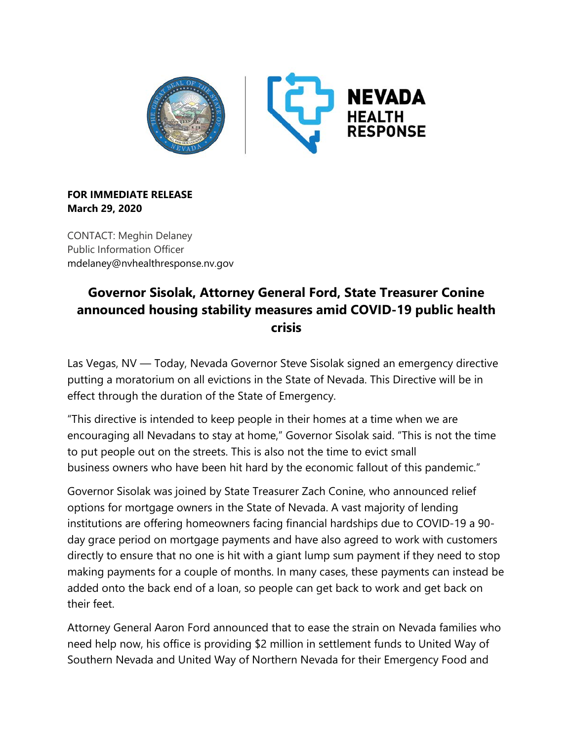

## **FOR IMMEDIATE RELEASE March 29, 2020**

CONTACT: Meghin Delaney Public Information Officer mdelaney@nvhealthresponse.nv.gov

## **Governor Sisolak, Attorney General Ford, State Treasurer Conine announced housing stability measures amid COVID-19 public health crisis**

Las Vegas, NV — Today, Nevada Governor Steve Sisolak signed an emergency directive putting a moratorium on all evictions in the State of Nevada. This Directive will be in effect through the duration of the State of Emergency.

"This directive is intended to keep people in their homes at a time when we are encouraging all Nevadans to stay at home," Governor Sisolak said. "This is not the time to put people out on the streets. This is also not the time to evict small business owners who have been hit hard by the economic fallout of this pandemic."

Governor Sisolak was joined by State Treasurer Zach Conine, who announced relief options for mortgage owners in the State of Nevada. A vast majority of lending institutions are offering homeowners facing financial hardships due to COVID-19 a 90 day grace period on mortgage payments and have also agreed to work with customers directly to ensure that no one is hit with a giant lump sum payment if they need to stop making payments for a couple of months. In many cases, these payments can instead be added onto the back end of a loan, so people can get back to work and get back on their feet.

Attorney General Aaron Ford announced that to ease the strain on Nevada families who need help now, his office is providing \$2 million in settlement funds to United Way of Southern Nevada and United Way of Northern Nevada for their Emergency Food and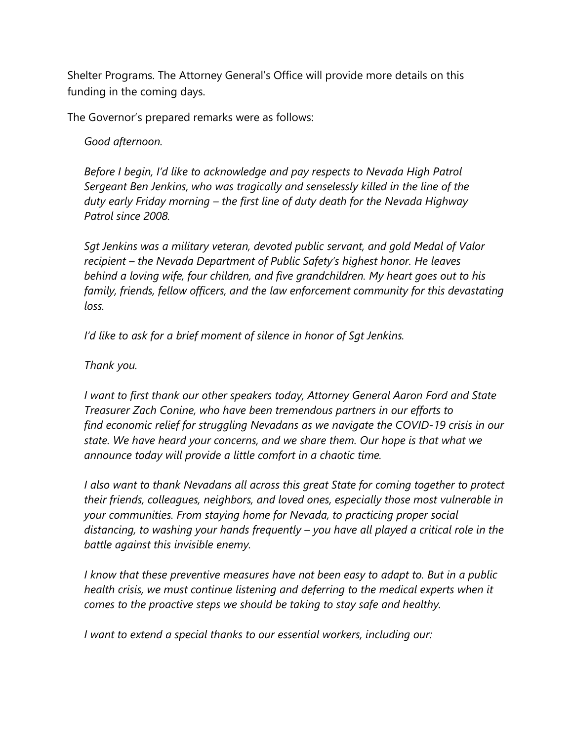Shelter Programs. The Attorney General's Office will provide more details on this funding in the coming days.

The Governor's prepared remarks were as follows:

*Good afternoon.*

*Before I begin, I'd like to acknowledge and pay respects to Nevada High Patrol Sergeant Ben Jenkins, who was tragically and senselessly killed in the line of the duty early Friday morning – the first line of duty death for the Nevada Highway Patrol since 2008.*

*Sgt Jenkins was a military veteran, devoted public servant, and gold Medal of Valor recipient – the Nevada Department of Public Safety's highest honor. He leaves behind a loving wife, four children, and five grandchildren. My heart goes out to his family, friends, fellow officers, and the law enforcement community for this devastating loss.*

*I'd like to ask for a brief moment of silence in honor of Sgt Jenkins.*

*Thank you.*

*I want to first thank our other speakers today, Attorney General Aaron Ford and State Treasurer Zach Conine, who have been tremendous partners in our efforts to find economic relief for struggling Nevadans as we navigate the COVID-19 crisis in our state. We have heard your concerns, and we share them. Our hope is that what we announce today will provide a little comfort in a chaotic time.*

*I also want to thank Nevadans all across this great State for coming together to protect their friends, colleagues, neighbors, and loved ones, especially those most vulnerable in your communities. From staying home for Nevada, to practicing proper social distancing, to washing your hands frequently – you have all played a critical role in the battle against this invisible enemy.*

*I know that these preventive measures have not been easy to adapt to. But in a public health crisis, we must continue listening and deferring to the medical experts when it comes to the proactive steps we should be taking to stay safe and healthy.*

*I want to extend a special thanks to our essential workers, including our:*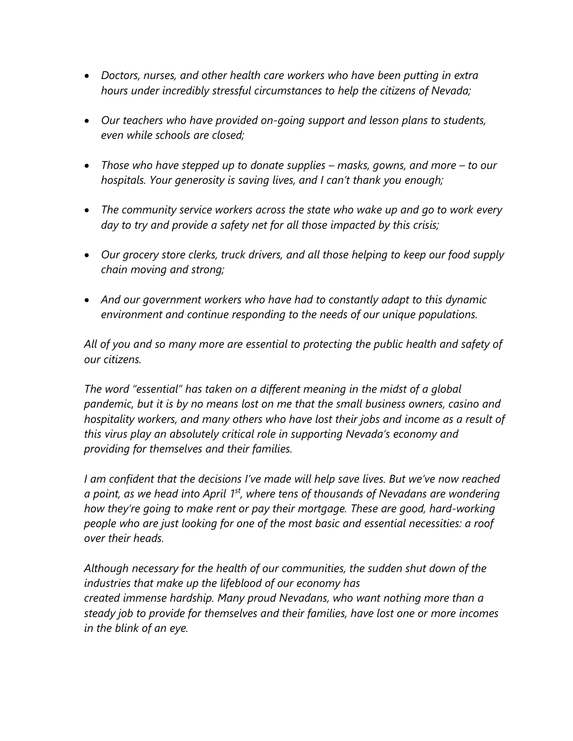- *Doctors, nurses, and other health care workers who have been putting in extra hours under incredibly stressful circumstances to help the citizens of Nevada;*
- *Our teachers who have provided on-going support and lesson plans to students, even while schools are closed;*
- *Those who have stepped up to donate supplies – masks, gowns, and more – to our hospitals. Your generosity is saving lives, and I can't thank you enough;*
- *The community service workers across the state who wake up and go to work every day to try and provide a safety net for all those impacted by this crisis;*
- *Our grocery store clerks, truck drivers, and all those helping to keep our food supply chain moving and strong;*
- *And our government workers who have had to constantly adapt to this dynamic environment and continue responding to the needs of our unique populations.*

*All of you and so many more are essential to protecting the public health and safety of our citizens.*

*The word "essential" has taken on a different meaning in the midst of a global pandemic, but it is by no means lost on me that the small business owners, casino and hospitality workers, and many others who have lost their jobs and income as a result of this virus play an absolutely critical role in supporting Nevada's economy and providing for themselves and their families.*

*I am confident that the decisions I've made will help save lives. But we've now reached a point, as we head into April 1st, where tens of thousands of Nevadans are wondering how they're going to make rent or pay their mortgage. These are good, hard-working people who are just looking for one of the most basic and essential necessities: a roof over their heads.*

*Although necessary for the health of our communities, the sudden shut down of the industries that make up the lifeblood of our economy has created immense hardship. Many proud Nevadans, who want nothing more than a steady job to provide for themselves and their families, have lost one or more incomes in the blink of an eye.*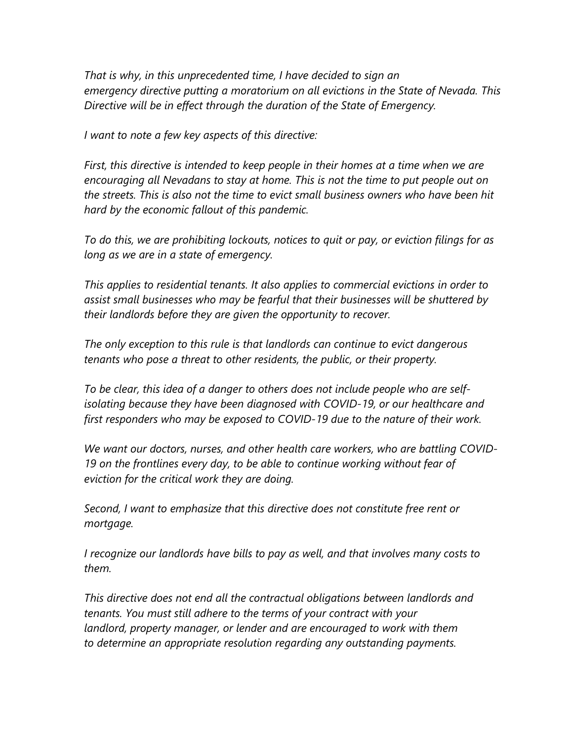*That is why, in this unprecedented time, I have decided to sign an emergency directive putting a moratorium on all evictions in the State of Nevada. This Directive will be in effect through the duration of the State of Emergency.*

*I want to note a few key aspects of this directive:*

*First, this directive is intended to keep people in their homes at a time when we are encouraging all Nevadans to stay at home. This is not the time to put people out on the streets. This is also not the time to evict small business owners who have been hit hard by the economic fallout of this pandemic.*

*To do this, we are prohibiting lockouts, notices to quit or pay, or eviction filings for as long as we are in a state of emergency.*

*This applies to residential tenants. It also applies to commercial evictions in order to assist small businesses who may be fearful that their businesses will be shuttered by their landlords before they are given the opportunity to recover.*

*The only exception to this rule is that landlords can continue to evict dangerous tenants who pose a threat to other residents, the public, or their property.*

*To be clear, this idea of a danger to others does not include people who are selfisolating because they have been diagnosed with COVID-19, or our healthcare and first responders who may be exposed to COVID-19 due to the nature of their work.*

*We want our doctors, nurses, and other health care workers, who are battling COVID-19 on the frontlines every day, to be able to continue working without fear of eviction for the critical work they are doing.*

*Second, I want to emphasize that this directive does not constitute free rent or mortgage.*

*I recognize our landlords have bills to pay as well, and that involves many costs to them.*

*This directive does not end all the contractual obligations between landlords and tenants. You must still adhere to the terms of your contract with your landlord, property manager, or lender and are encouraged to work with them to determine an appropriate resolution regarding any outstanding payments.*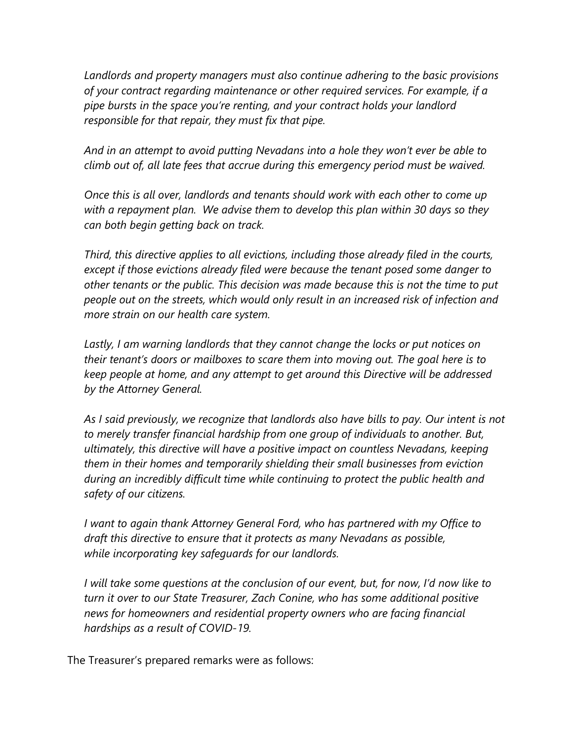*Landlords and property managers must also continue adhering to the basic provisions of your contract regarding maintenance or other required services. For example, if a pipe bursts in the space you're renting, and your contract holds your landlord responsible for that repair, they must fix that pipe.*

*And in an attempt to avoid putting Nevadans into a hole they won't ever be able to climb out of, all late fees that accrue during this emergency period must be waived.*

*Once this is all over, landlords and tenants should work with each other to come up with a repayment plan. We advise them to develop this plan within 30 days so they can both begin getting back on track.*

*Third, this directive applies to all evictions, including those already filed in the courts, except if those evictions already filed were because the tenant posed some danger to other tenants or the public. This decision was made because this is not the time to put people out on the streets, which would only result in an increased risk of infection and more strain on our health care system.*

*Lastly, I am warning landlords that they cannot change the locks or put notices on their tenant's doors or mailboxes to scare them into moving out. The goal here is to keep people at home, and any attempt to get around this Directive will be addressed by the Attorney General.*

*As I said previously, we recognize that landlords also have bills to pay. Our intent is not to merely transfer financial hardship from one group of individuals to another. But, ultimately, this directive will have a positive impact on countless Nevadans, keeping them in their homes and temporarily shielding their small businesses from eviction during an incredibly difficult time while continuing to protect the public health and safety of our citizens.*

*I want to again thank Attorney General Ford, who has partnered with my Office to draft this directive to ensure that it protects as many Nevadans as possible, while incorporating key safeguards for our landlords.*

*I will take some questions at the conclusion of our event, but, for now, I'd now like to turn it over to our State Treasurer, Zach Conine, who has some additional positive news for homeowners and residential property owners who are facing financial hardships as a result of COVID-19.*

The Treasurer's prepared remarks were as follows: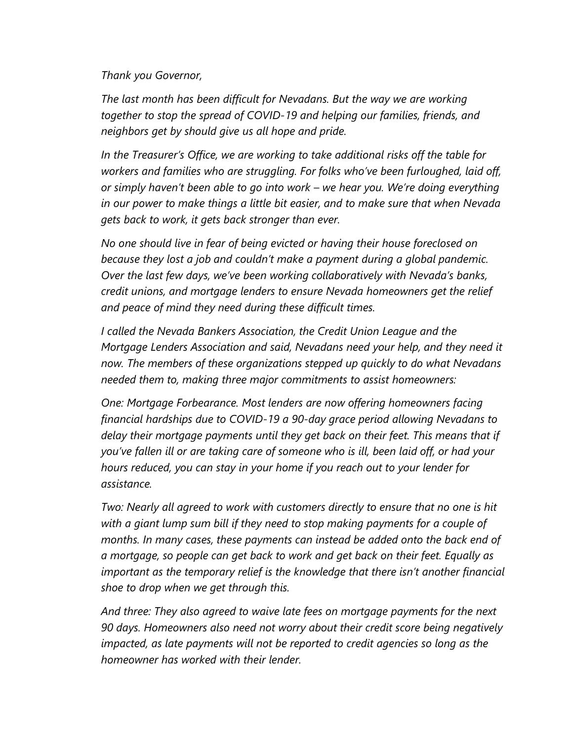*Thank you Governor,*

*The last month has been difficult for Nevadans. But the way we are working together to stop the spread of COVID-19 and helping our families, friends, and neighbors get by should give us all hope and pride.*

*In the Treasurer's Office, we are working to take additional risks off the table for workers and families who are struggling. For folks who've been furloughed, laid off, or simply haven't been able to go into work – we hear you. We're doing everything in our power to make things a little bit easier, and to make sure that when Nevada gets back to work, it gets back stronger than ever.*

*No one should live in fear of being evicted or having their house foreclosed on because they lost a job and couldn't make a payment during a global pandemic. Over the last few days, we've been working collaboratively with Nevada's banks, credit unions, and mortgage lenders to ensure Nevada homeowners get the relief and peace of mind they need during these difficult times.* 

*I called the Nevada Bankers Association, the Credit Union League and the Mortgage Lenders Association and said, Nevadans need your help, and they need it now. The members of these organizations stepped up quickly to do what Nevadans needed them to, making three major commitments to assist homeowners:* 

*One: Mortgage Forbearance. Most lenders are now offering homeowners facing financial hardships due to COVID-19 a 90-day grace period allowing Nevadans to delay their mortgage payments until they get back on their feet. This means that if you've fallen ill or are taking care of someone who is ill, been laid off, or had your hours reduced, you can stay in your home if you reach out to your lender for assistance.* 

*Two: Nearly all agreed to work with customers directly to ensure that no one is hit*  with a giant lump sum bill if they need to stop making payments for a couple of *months. In many cases, these payments can instead be added onto the back end of a mortgage, so people can get back to work and get back on their feet. Equally as important as the temporary relief is the knowledge that there isn't another financial shoe to drop when we get through this.*

*And three: They also agreed to waive late fees on mortgage payments for the next 90 days. Homeowners also need not worry about their credit score being negatively impacted, as late payments will not be reported to credit agencies so long as the homeowner has worked with their lender.*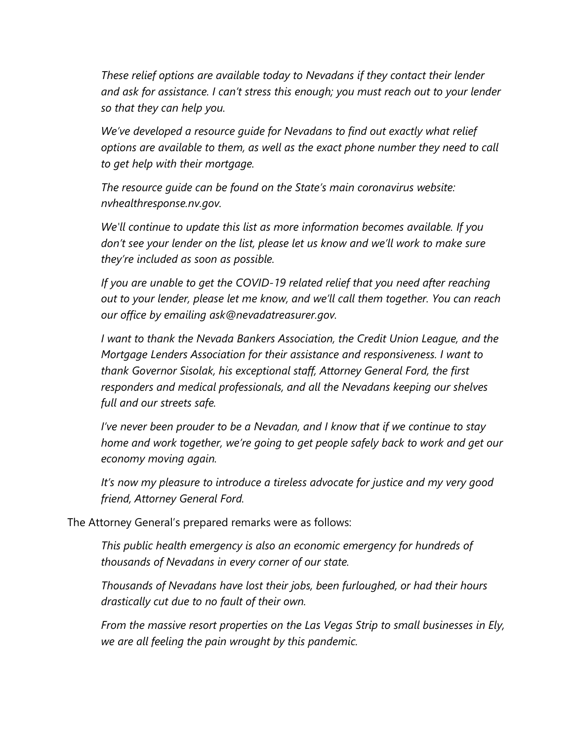*These relief options are available today to Nevadans if they contact their lender and ask for assistance. I can't stress this enough; you must reach out to your lender so that they can help you.*

*We've developed a resource guide for Nevadans to find out exactly what relief options are available to them, as well as the exact phone number they need to call to get help with their mortgage.*

*The resource guide can be found on the State's main coronavirus website: nvhealthresponse.nv.gov.*

*We'll continue to update this list as more information becomes available. If you don't see your lender on the list, please let us know and we'll work to make sure they're included as soon as possible.* 

*If you are unable to get the COVID-19 related relief that you need after reaching out to your lender, please let me know, and we'll call them together. You can reach our office by emailing ask@nevadatreasurer.gov.*

*I want to thank the Nevada Bankers Association, the Credit Union League, and the Mortgage Lenders Association for their assistance and responsiveness. I want to thank Governor Sisolak, his exceptional staff, Attorney General Ford, the first responders and medical professionals, and all the Nevadans keeping our shelves full and our streets safe.* 

*I've never been prouder to be a Nevadan, and I know that if we continue to stay home and work together, we're going to get people safely back to work and get our economy moving again.*

*It's now my pleasure to introduce a tireless advocate for justice and my very good friend, Attorney General Ford.*

The Attorney General's prepared remarks were as follows:

*This public health emergency is also an economic emergency for hundreds of thousands of Nevadans in every corner of our state.*

*Thousands of Nevadans have lost their jobs, been furloughed, or had their hours drastically cut due to no fault of their own.*

*From the massive resort properties on the Las Vegas Strip to small businesses in Ely, we are all feeling the pain wrought by this pandemic.*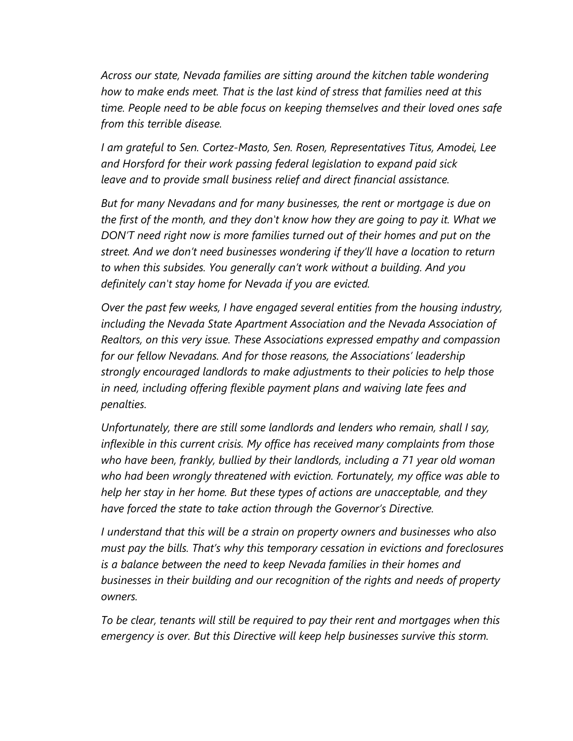*Across our state, Nevada families are sitting around the kitchen table wondering how to make ends meet. That is the last kind of stress that families need at this time. People need to be able focus on keeping themselves and their loved ones safe from this terrible disease.*

*I am grateful to Sen. Cortez-Masto, Sen. Rosen, Representatives Titus, Amodei, Lee and Horsford for their work passing federal legislation to expand paid sick leave and to provide small business relief and direct financial assistance.*

*But for many Nevadans and for many businesses, the rent or mortgage is due on the first of the month, and they don't know how they are going to pay it. What we DON'T need right now is more families turned out of their homes and put on the street. And we don't need businesses wondering if they'll have a location to return to when this subsides. You generally can't work without a building. And you definitely can't stay home for Nevada if you are evicted.*

*Over the past few weeks, I have engaged several entities from the housing industry, including the Nevada State Apartment Association and the Nevada Association of Realtors, on this very issue. These Associations expressed empathy and compassion for our fellow Nevadans. And for those reasons, the Associations' leadership strongly encouraged landlords to make adjustments to their policies to help those in need, including offering flexible payment plans and waiving late fees and penalties.*

*Unfortunately, there are still some landlords and lenders who remain, shall I say, inflexible in this current crisis. My office has received many complaints from those who have been, frankly, bullied by their landlords, including a 71 year old woman who had been wrongly threatened with eviction. Fortunately, my office was able to help her stay in her home. But these types of actions are unacceptable, and they have forced the state to take action through the Governor's Directive.*

*I understand that this will be a strain on property owners and businesses who also must pay the bills. That's why this temporary cessation in evictions and foreclosures is a balance between the need to keep Nevada families in their homes and businesses in their building and our recognition of the rights and needs of property owners.*

*To be clear, tenants will still be required to pay their rent and mortgages when this emergency is over. But this Directive will keep help businesses survive this storm.*